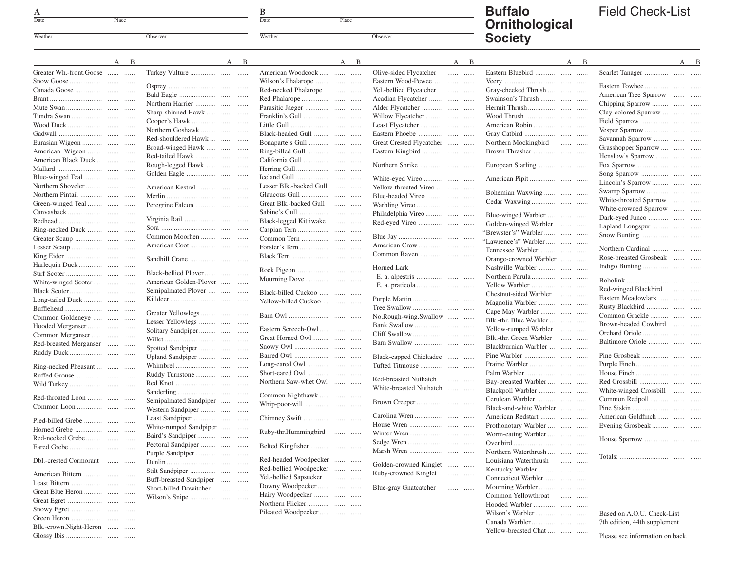| A       |       |          |
|---------|-------|----------|
| Date    | Place |          |
| Weather |       | Observer |

Glossy Ibis . . . . . . . . . . . . . . . . . . . . . . . . . . . . . . . .

 $\frac{B}{\text{Date}}$ 

Weather Observer

Place

## **Buffalo Ornithological Society**

## Field Check-List

|                         | A | B | A                       | B<br>A<br>B                               | B<br>A                                                       | B<br>A                  | A B                          |
|-------------------------|---|---|-------------------------|-------------------------------------------|--------------------------------------------------------------|-------------------------|------------------------------|
| Greater Wh.-front.Goose |   |   |                         | American Woodcock                         | Olive-sided Flycatcher                                       | Eastern Bluebird        |                              |
|                         |   |   |                         | Wilson's Phalarope                        | Eastern Wood-Pewee                                           |                         |                              |
|                         |   |   |                         | Red-necked Phalarope                      | Yel.-bellied Flycatcher                                      | Gray-cheeked Thrush     |                              |
|                         |   |   |                         |                                           | Acadian Flycatcher                                           | Swainson's Thrush       | American Tree Sparrow        |
|                         |   |   | Northern Harrier        |                                           |                                                              |                         | Chipping Sparrow             |
|                         |   |   | Sharp-shinned Hawk      |                                           | Willow Flycatcher                                            |                         | Clay-colored Sparrow         |
|                         |   |   |                         |                                           |                                                              |                         |                              |
|                         |   |   | Northern Goshawk        |                                           |                                                              |                         |                              |
|                         |   |   | Red-shouldered Hawk     | Black-headed Gull                         |                                                              |                         | Savannah Sparrow             |
| Eurasian Wigeon         |   |   | Broad-winged Hawk       | Bonaparte's Gull                          | Great Crested Flycatcher                                     | Northern Mockingbird    | Grasshopper Sparrow          |
| American Wigeon         |   |   | Red-tailed Hawk         |                                           |                                                              |                         | Henslow's Sparrow            |
| American Black Duck     |   |   | Rough-legged Hawk       |                                           |                                                              | European Starling       |                              |
|                         |   |   |                         |                                           |                                                              |                         |                              |
| Blue-winged Teal        |   |   |                         |                                           | White-eyed Vireo                                             |                         |                              |
| Northern Shoveler       |   |   | American Kestrel        | Lesser Blk.-backed Gull                   | Yellow-throated Vireo                                        |                         | Lincoln's Sparrow            |
|                         |   |   |                         |                                           | Blue-headed Vireo                                            | Bohemian Waxwing        |                              |
| Green-winged Teal       |   |   |                         | Great Blk.-backed Gull                    |                                                              |                         | White-throated Sparrow       |
|                         |   |   |                         |                                           | Philadelphia Vireo                                           |                         | White-crowned Sparrow        |
|                         |   |   |                         | Black-legged Kittiwake                    |                                                              | Blue-winged Warbler     |                              |
| Ring-necked Duck        |   |   |                         |                                           |                                                              | Golden-winged Warbler   | Lapland Longspur             |
|                         |   |   | Common Moorhen          |                                           |                                                              | "Brewster's" Warbler    |                              |
|                         |   |   |                         |                                           |                                                              | "Lawrence's" Warbler    |                              |
|                         |   |   |                         |                                           |                                                              | Tennessee Warbler       | Northern Cardinal            |
|                         |   |   |                         |                                           |                                                              | Orange-crowned Warbler  | Rose-breasted Grosbeak       |
|                         |   |   |                         |                                           | Horned Lark                                                  | Nashville Warbler       |                              |
|                         |   |   | Black-bellied Plover    |                                           |                                                              |                         |                              |
| White-winged Scoter     |   |   | American Golden-Plover  |                                           |                                                              |                         |                              |
|                         |   |   | Semipalmated Plover     | Black-billed Cuckoo                       |                                                              | Chestnut-sided Warbler  | Red-winged Blackbird         |
| Long-tailed Duck        |   |   |                         | Yellow-billed Cuckoo                      |                                                              | Magnolia Warbler        | Eastern Meadowlark           |
|                         |   |   |                         |                                           |                                                              | Cape May Warbler        |                              |
| Common Goldeneye        |   |   | Greater Yellowlegs      |                                           | No.Rough-wing.Swallow                                        | Blk.-thr. Blue Warbler  |                              |
| Hooded Merganser        |   |   | Lesser Yellowlegs       | Eastern Screech-Owl                       |                                                              | Yellow-rumped Warbler   | Brown-headed Cowbird         |
| Common Merganser        |   |   | Solitary Sandpiper      |                                           |                                                              |                         |                              |
| Red-breasted Merganser  |   |   |                         | Great Horned Owl                          |                                                              | Blk.-thr. Green Warbler | Baltimore Oriole             |
|                         |   |   | Spotted Sandpiper       |                                           |                                                              | Blackburnian Warbler    |                              |
|                         |   |   | Upland Sandpiper        |                                           | Black-capped Chickadee                                       |                         |                              |
| Ring-necked Pheasant    |   |   |                         |                                           |                                                              |                         |                              |
|                         |   |   |                         |                                           |                                                              |                         |                              |
|                         |   |   |                         | Northern Saw-whet Owl                     | Red-breasted Nuthatch<br>.                                   | Bay-breasted Warbler    |                              |
|                         |   |   |                         |                                           | White-breasted Nuthatch                                      | Blackpoll Warbler       | White-winged Crossbill       |
| Red-throated Loon       |   |   | Semipalmated Sandpiper  | Common Nighthawk                          |                                                              | Cerulean Warbler        | Common Redpoll               |
|                         |   |   | Western Sandpiper       | Whip-poor-will                            |                                                              | Black-and-white Warbler |                              |
|                         |   |   |                         |                                           |                                                              | American Redstart       | American Goldfinch           |
| Pied-billed Grebe       |   |   |                         |                                           |                                                              | Prothonotary Warbler    | Evening Grosbeak             |
|                         |   |   | White-rumped Sandpiper  | Ruby-thr.Hummingbird                      |                                                              | Worm-eating Warbler     |                              |
|                         |   |   |                         |                                           |                                                              |                         |                              |
|                         |   |   | Pectoral Sandpiper      | Belted Kingfisher                         |                                                              |                         |                              |
|                         |   |   |                         |                                           |                                                              | Northern Waterthrush    |                              |
| Dbl.-crested Cormorant  |   |   |                         | Red-headed Woodpecker                     | Golden-crowned Kinglet                                       | Louisiana Waterthrush   |                              |
|                         |   |   |                         | Red-bellied Woodpecker                    | Ruby-crowned Kinglet<br>$\cdots \cdots \cdots \cdots \cdots$ | Kentucky Warbler        |                              |
|                         |   |   | Buff-breasted Sandpiper | Yel.-bellied Sapsucker<br>$\ldots \ldots$ |                                                              | Connecticut Warbler     |                              |
|                         |   |   | Short-billed Dowitcher  | Downy Woodpecker                          | Blue-gray Gnatcatcher<br>$\ldots \ldots$                     | Mourning Warbler        |                              |
|                         |   |   |                         | Hairy Woodpecker                          |                                                              | Common Yellowthroat     |                              |
|                         |   |   |                         |                                           |                                                              |                         |                              |
|                         |   |   |                         | Pileated Woodpecker                       |                                                              |                         | Based on A.O.U. Check-List   |
|                         |   |   |                         |                                           |                                                              |                         | 7th edition, 44th supplement |
| Blk.-crown.Night-Heron  |   |   |                         |                                           |                                                              | Yellow-breasted Chat    |                              |

Please see information on back.